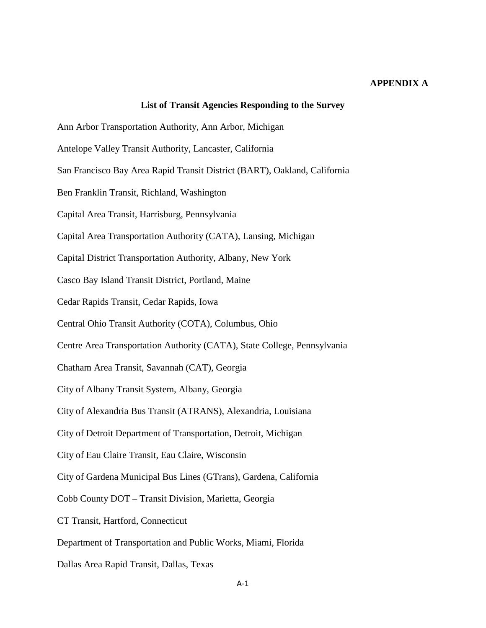## **APPENDIX A**

## **List of Transit Agencies Responding to the Survey** Ann Arbor Transportation Authority, Ann Arbor, Michigan Antelope Valley Transit Authority, Lancaster, California San Francisco Bay Area Rapid Transit District (BART), Oakland, California Ben Franklin Transit, Richland, Washington Capital Area Transit, Harrisburg, Pennsylvania Capital Area Transportation Authority (CATA), Lansing, Michigan Capital District Transportation Authority, Albany, New York Casco Bay Island Transit District, Portland, Maine Cedar Rapids Transit, Cedar Rapids, Iowa Central Ohio Transit Authority (COTA), Columbus, Ohio Centre Area Transportation Authority (CATA), State College, Pennsylvania Chatham Area Transit, Savannah (CAT), Georgia City of Albany Transit System, Albany, Georgia City of Alexandria Bus Transit (ATRANS), Alexandria, Louisiana City of Detroit Department of Transportation, Detroit, Michigan City of Eau Claire Transit, Eau Claire, Wisconsin City of Gardena Municipal Bus Lines (GTrans), Gardena, California Cobb County DOT – Transit Division, Marietta, Georgia CT Transit, Hartford, Connecticut Department of Transportation and Public Works, Miami, Florida Dallas Area Rapid Transit, Dallas, Texas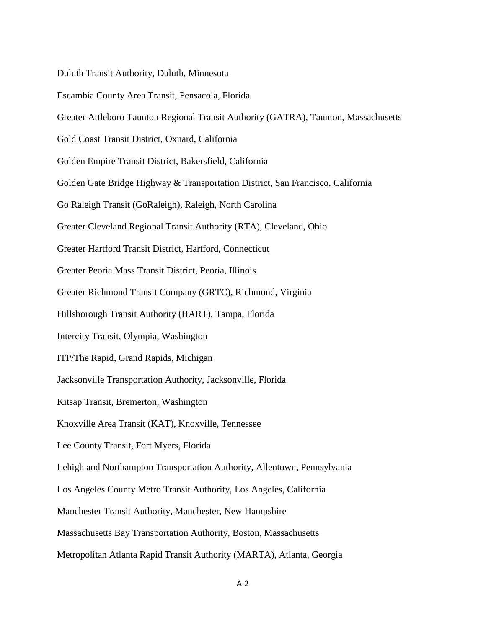Duluth Transit Authority, Duluth, Minnesota

Escambia County Area Transit, Pensacola, Florida

Greater Attleboro Taunton Regional Transit Authority (GATRA), Taunton, Massachusetts

Gold Coast Transit District, Oxnard, California

Golden Empire Transit District, Bakersfield, California

Golden Gate Bridge Highway & Transportation District, San Francisco, California

Go Raleigh Transit (GoRaleigh), Raleigh, North Carolina

Greater Cleveland Regional Transit Authority (RTA), Cleveland, Ohio

Greater Hartford Transit District, Hartford, Connecticut

Greater Peoria Mass Transit District, Peoria, Illinois

Greater Richmond Transit Company (GRTC), Richmond, Virginia

Hillsborough Transit Authority (HART), Tampa, Florida

Intercity Transit, Olympia, Washington

ITP/The Rapid, Grand Rapids, Michigan

Jacksonville Transportation Authority, Jacksonville, Florida

Kitsap Transit, Bremerton, Washington

Knoxville Area Transit (KAT), Knoxville, Tennessee

Lee County Transit, Fort Myers, Florida

Lehigh and Northampton Transportation Authority, Allentown, Pennsylvania

Los Angeles County Metro Transit Authority, Los Angeles, California

Manchester Transit Authority, Manchester, New Hampshire

Massachusetts Bay Transportation Authority, Boston, Massachusetts

Metropolitan Atlanta Rapid Transit Authority (MARTA), Atlanta, Georgia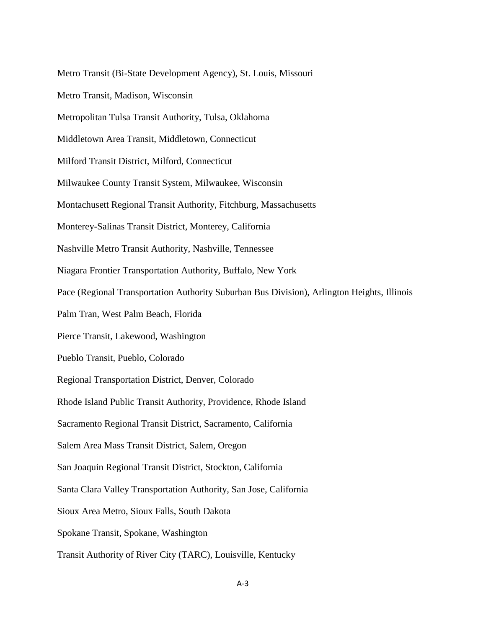Metro Transit (Bi-State Development Agency), St. Louis, Missouri Metro Transit, Madison, Wisconsin Metropolitan Tulsa Transit Authority, Tulsa, Oklahoma Middletown Area Transit, Middletown, Connecticut Milford Transit District, Milford, Connecticut Milwaukee County Transit System, Milwaukee, Wisconsin Montachusett Regional Transit Authority, Fitchburg, Massachusetts Monterey-Salinas Transit District, Monterey, California Nashville Metro Transit Authority, Nashville, Tennessee Niagara Frontier Transportation Authority, Buffalo, New York Pace (Regional Transportation Authority Suburban Bus Division), Arlington Heights, Illinois Palm Tran, West Palm Beach, Florida Pierce Transit, Lakewood, Washington Pueblo Transit, Pueblo, Colorado Regional Transportation District, Denver, Colorado Rhode Island Public Transit Authority, Providence, Rhode Island Sacramento Regional Transit District, Sacramento, California Salem Area Mass Transit District, Salem, Oregon San Joaquin Regional Transit District, Stockton, California Santa Clara Valley Transportation Authority, San Jose, California Sioux Area Metro, Sioux Falls, South Dakota Spokane Transit, Spokane, Washington Transit Authority of River City (TARC), Louisville, Kentucky